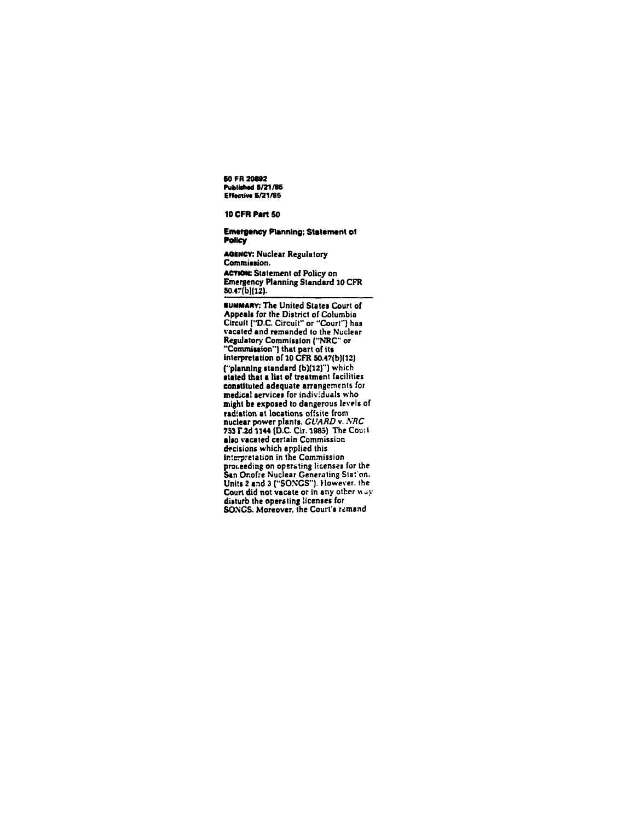50 FR 20892 Published 5/21/85 Effective 5/21/85

## **10 CFR Part 50**

## **Emergency Planning; Statement of** Policy

**AGENCY: Nuclear Regulatory** Commission. **ACTION:** Statement of Policy on Emergency Planning Standard 10 CFR  $50.47(b)(12)$ .

SUMMARY: The United States Court of Appeals for the District of Columbia<br>Circuit ("D.C. Circuit" or "Court") has vacated and remanded to the Nuclear Regulatory Commission ("NRC" or<br>"Commission") that part of its interpretation of 10 CFR 50.47(b)(12) ("planning standard (b)(12)") which<br>stated that a list of treatment facilities constituted adequate arrangements for medical services for individuals who might be exposed to dangerous levels of radiation at locations offsite from nuclear power plants. GUARD v. NRC 753 F.2d 1144 (D.C. Cir. 1985) The Court also vacated certain Commission decisions which applied this interpretation in the Commission proceeding on operating licenses for the<br>San Onofre Nuclear Generating Stat'on. Units 2 and 3 ("SONGS"). However, the Court did not vacate or in any other way disturb the operating licenses for SONGS. Moreover, the Court's remand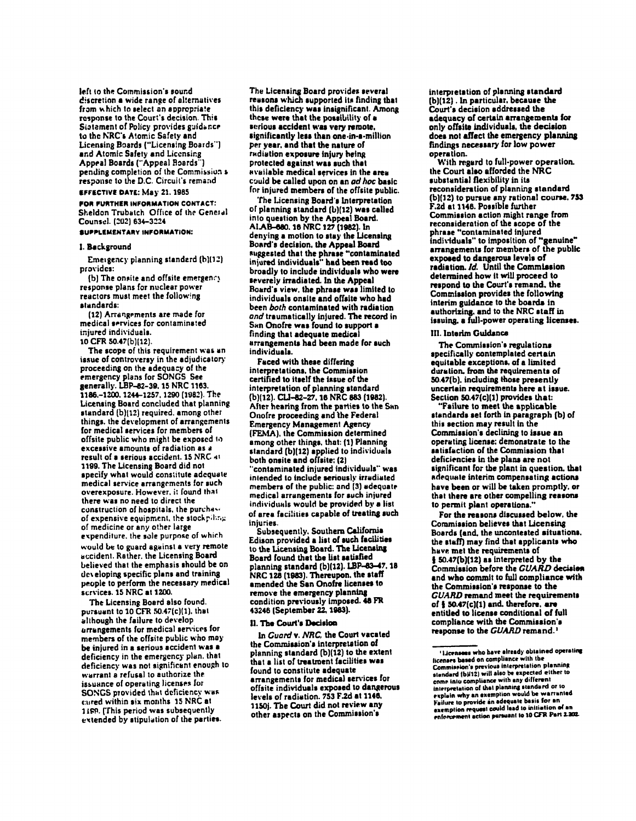left to the Commission's sound discretion a wide range of alternatives from which to select an appropriate response to the Court's decision. This Sistement of Policy provides guidance to the NRC's Atomic Safety and Licensing Boards ("Licensing Boards") and Atomic Safety and Licensing Appeal Boards ("Appeal Boards") pending completion of the Commission s response to the D.C. Circuit's remand

# **EFFECTIVE DATE: May 21, 1985**

FOR FURTHER INFORMATION CONTACT: Sheldon Trubatch Office of the General Counsel. (202) 634-3224

#### SUPPLEMENTARY INFORMATION:

## 1. Background

Emergency planning standerd (b)(12) provides:

(b) The onsite and offsite emergency response plans for nuclear power reactors must meet the following standards:

(12) Arrangements are made for medical services for contaminated injured individuals. 10 CFR 50.47(b)(12).

The scope of this requirement was an issue of controversy in the adjudicatory

proceeding on the adequacy of the emergency plans for SONGS See generally. LBP-82-39, 15 NRC 1163. 1186.-1200. 1244-1257, 1290 (1982). The Licensing Board concluded that planning standard (b)(12) required, among other things, the development of arrangements for medical services for members of offsite public who might be exposed to excessive amounts of radiation as a result of a serious accident. 15 NRC 41 1199. The Licensing Board did not specify what would constitute adequate medical service arrangements for such overexposure. However, it found that there was no need to direct the construction of hospitals, the purchase of expensive equipment, the stockpiling of medicine or any other large expenditure, the sole purpose of which would be to guard against a very remote accident. Rather, the Licensing Board believed that the emphasis should be on developing specific plans and training people to perform the necessary medical scrvices. 15 NRC at 1200.

The Licensing Board also found. pursuant to 10 CFR 50.47(c)(1), that although the failure to develop arrangements for medical services for members of the offsite public who may be injured in a serious accident was a deficiency in the emergency plan. that deficiency was not significant enough to warrant a refusal to authorize the issuance of operating licenses for SONGS provided that deficiency was cured within six months 15 NRC at 1189. [This period was subsequently extended by stipulation of the parties.

The Licensing Board provides several reasons which supported its finding that this deficiency was insignificant. Among these were that the possibility of a serious accident was very remote. significantly less than one-in-a-million per year, and that the nature of radiation exposure injury heing protected against was such that available medical services in the area could be called upon on an ad hoc basic for injured members of the offsite public.

The Licensing Board's Interpretation of planning standard (b)(12) was called into question by the Appeal Board. AI.AB-680. 16 NRC 127 (1982). In denying a motion to stay the Licensing Board's decision, the Appeal Board suggested that the phrase "contaminated injured individuals" had been read too broadly to include individuals who were severely irradiated. In the Appeal Board's view, the phrase was limited to individuals onsite and offsite who had been both contaminated with radiation and traumatically injured. The record in San Onofre was found to support a finding that adequate medical arrangements had been made for such individuals.

Faced with these differing interpretations, the Commission certified to itself the issue of the interpretation of planning standard (b)(12). CLI-82-27, 16 NRC 883 (1982). After hearing from the parties to the San Onofre proceeding and the Federal **Emergency Management Agency** (FEMA), the Commission determined among other things, that: (1) Planning standard (b)(12) applied to individuals both onsite and offsite: (2) contaminated injured individuals" was intended to include seriously irradiated members of the public: and (3) adequate medical arrangements for such injured individuals would be provided by a list of area facilities capable of treating such injuries.

Subsequently. Southern California<br>Edison provided a list of such facilities to the Licensing Board. The Licensing Board found that the list satisfied planning standard (b)(12). LBP-83-47. 18 NRC 128 (1983). Thereupon, the staff amended the San Onofre licenses to remove the emergency planning condition previously imposed. 48 FR 43246 (September 22, 1983).

#### II. The Court's Decision

In Guard v. NRC, the Court vacated the Commission's interpretation of planning standard (b)(12) to the extent that a list of treatment facilities was found to constitute adequate arrangements for medical services for offsite individuals exposed to dangerous levels of radiation. 753 F.2d at 1146. 1150j. The Court did not review any other aspects on the Commission's

interpretation of planning standard (b)(12). In particular, because the Court's decision addressed the adequacy of certain arrangements for only offsite individuals, the decision does not affect the emergency planning findings necessary for low power operation.

With regard to full-power operation. the Court also afforded the NRC substantial flexibility in its reconsideration of planning standard (b)(12) to pursue any rational course, 753 F.2d at 1146. Possible further Commission action might range from reconsideration of the scope of the phrase "contaminated injured individuals" to imposition of "genuine" arrangements for members of the public exposed to dangerous levels of radiation. Id. Until the Commission determined how it will proceed to respond to the Court's remand, the Commission provides the following interim guidance to the boards in authorizing, and to the NRC staff in issuing, a full-power operating licenses.

#### III. Interim Guidance

The Commission's regulations specifically contemplated certain equitable exceptions, of a limited duration, from the requirements of 50.47(b), including those presently uncertain requirements here at issue. Section 50.47(c)(1) provides that:

"Failure to meet the applicable standards set forth in paragraph (b) of this section may result in the Commission's declining to issue an operating license: demonstrate to the satisfaction of the Commission that deficiencies in the plans are not significant for the plant in question, that adequate interim compensating actions have been or will be taken promptly, or that there are other compelling reasons to permit plant operations.'

For the reasons discussed below, the Commission believes that Licensing Boards (and, the uncontested situations. the staff) may find that applicants who have met the requirements of § 50.47(b)(12) as interpreted by the Commission before the GUARD decision and who commit to full compliance with the Commission's response to the **GUARD** remand meet the requirements of § 50.47(c)(1) and. therefore, are entitled to license conditional of full compliance with the Commission's response to the GUARD remand.<sup>1</sup>

<sup>&#</sup>x27;Licensees who have already obtained operating licenses based on compliance with the Commission's previous interpretation planning standard (b)(12) will also be expected either to come into compliance with any different<br>interpretation of that planning standard or to explain why an exemption would be warranted Failure to provide an adequate basis for an exemption request could lead to initiation of an enforcement action pursuant to 10 CFR Part 2.202.